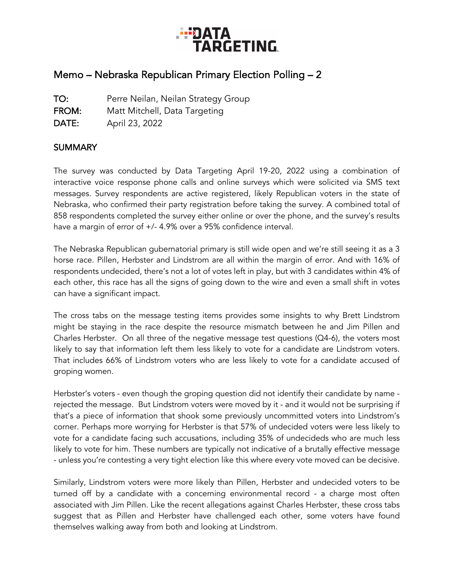

## Memo – Nebraska Republican Primary Election Polling – 2

TO: Perre Neilan, Neilan Strategy Group FROM: Matt Mitchell, Data Targeting DATE: April 23, 2022

## **SUMMARY**

The survey was conducted by Data Targeting April 19-20, 2022 using a combination of interactive voice response phone calls and online surveys which were solicited via SMS text messages. Survey respondents are active registered, likely Republican voters in the state of Nebraska, who confirmed their party registration before taking the survey. A combined total of 858 respondents completed the survey either online or over the phone, and the survey's results have a margin of error of +/- 4.9% over a 95% confidence interval.

The Nebraska Republican gubernatorial primary is still wide open and we're still seeing it as a 3 horse race. Pillen, Herbster and Lindstrom are all within the margin of error. And with 16% of respondents undecided, there's not a lot of votes left in play, but with 3 candidates within 4% of each other, this race has all the signs of going down to the wire and even a small shift in votes can have a significant impact.

The cross tabs on the message testing items provides some insights to why Brett Lindstrom might be staying in the race despite the resource mismatch between he and Jim Pillen and Charles Herbster. On all three of the negative message test questions (Q4-6), the voters most likely to say that information left them less likely to vote for a candidate are Lindstrom voters. That includes 66% of Lindstrom voters who are less likely to vote for a candidate accused of groping women.

Herbster's voters - even though the groping question did not identify their candidate by name rejected the message. But Lindstrom voters were moved by it - and it would not be surprising if that's a piece of information that shook some previously uncommitted voters into Lindstrom's corner. Perhaps more worrying for Herbster is that 57% of undecided voters were less likely to vote for a candidate facing such accusations, including 35% of undecideds who are much less likely to vote for him. These numbers are typically not indicative of a brutally effective message - unless you're contesting a very tight election like this where every vote moved can be decisive.

Similarly, Lindstrom voters were more likely than Pillen, Herbster and undecided voters to be turned off by a candidate with a concerning environmental record - a charge most often associated with Jim Pillen. Like the recent allegations against Charles Herbster, these cross tabs suggest that as Pillen and Herbster have challenged each other, some voters have found themselves walking away from both and looking at Lindstrom.